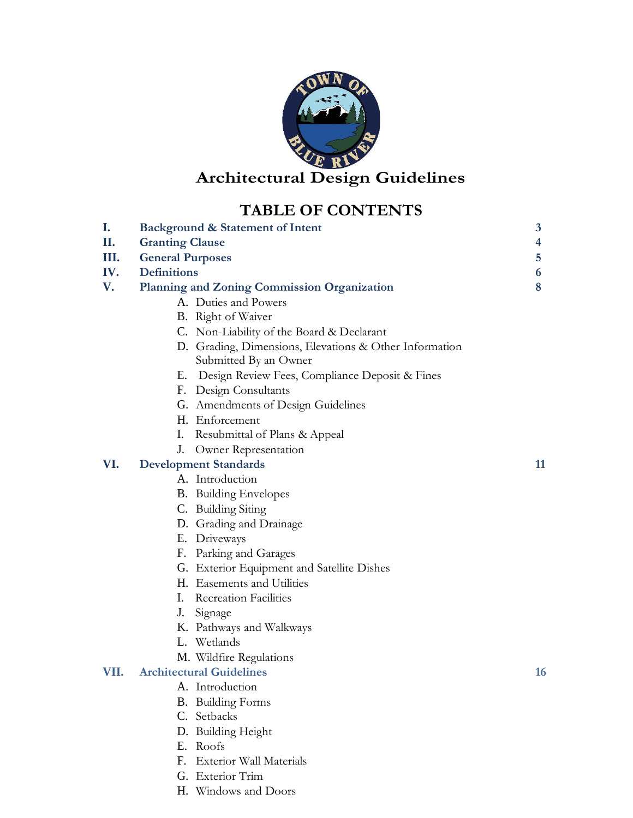

# **Architectural Design Guidelines**

# **TABLE OF CONTENTS**

|      | THOME OF CONTRIG                                       |    |  |  |
|------|--------------------------------------------------------|----|--|--|
| I.   | 3<br><b>Background &amp; Statement of Intent</b>       |    |  |  |
| П.   | <b>Granting Clause</b><br>4                            |    |  |  |
| Ш.   | <b>General Purposes</b>                                |    |  |  |
| IV.  | <b>Definitions</b>                                     |    |  |  |
| V.   | <b>Planning and Zoning Commission Organization</b>     | 8  |  |  |
|      | A. Duties and Powers                                   |    |  |  |
|      | <b>B.</b> Right of Waiver                              |    |  |  |
|      | C. Non-Liability of the Board & Declarant              |    |  |  |
|      | D. Grading, Dimensions, Elevations & Other Information |    |  |  |
|      | Submitted By an Owner                                  |    |  |  |
|      | Design Review Fees, Compliance Deposit & Fines<br>Е.   |    |  |  |
|      | F. Design Consultants                                  |    |  |  |
|      | G. Amendments of Design Guidelines                     |    |  |  |
|      | H. Enforcement                                         |    |  |  |
|      | Resubmittal of Plans & Appeal<br>I.                    |    |  |  |
|      | J.<br>Owner Representation                             |    |  |  |
| VI.  | <b>Development Standards</b>                           | 11 |  |  |
|      | A. Introduction                                        |    |  |  |
|      | <b>B.</b> Building Envelopes                           |    |  |  |
|      | C. Building Siting                                     |    |  |  |
|      | D. Grading and Drainage                                |    |  |  |
|      | E. Driveways                                           |    |  |  |
|      | F. Parking and Garages                                 |    |  |  |
|      | G. Exterior Equipment and Satellite Dishes             |    |  |  |
|      | H. Easements and Utilities                             |    |  |  |
|      | I.<br><b>Recreation Facilities</b>                     |    |  |  |
|      | J.<br>Signage                                          |    |  |  |
|      | K. Pathways and Walkways                               |    |  |  |
|      | L. Wetlands                                            |    |  |  |
|      | M. Wildfire Regulations                                |    |  |  |
| VII. | <b>Architectural Guidelines</b>                        | 16 |  |  |
|      | A. Introduction                                        |    |  |  |
|      | <b>B.</b> Building Forms                               |    |  |  |
|      | C. Setbacks                                            |    |  |  |
|      | D. Building Height                                     |    |  |  |
|      | E. Roofs                                               |    |  |  |

- F. Exterior Wall Materials
- G. Exterior Trim
- H. Windows and Doors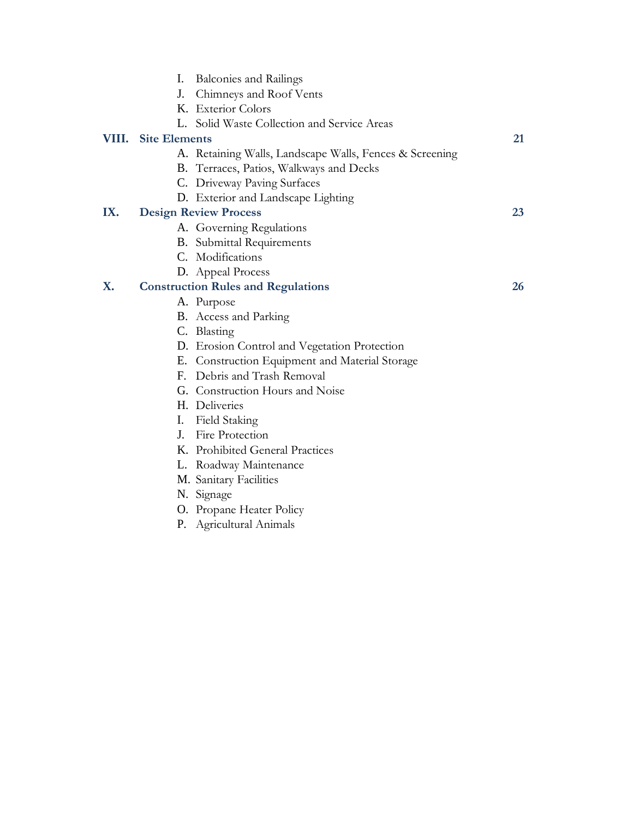|       | I.                   | <b>Balconies and Railings</b>                           |    |
|-------|----------------------|---------------------------------------------------------|----|
|       | J.                   | Chimneys and Roof Vents                                 |    |
|       |                      | K. Exterior Colors                                      |    |
|       | $\mathbf{L}$         | Solid Waste Collection and Service Areas                |    |
| VIII. | <b>Site Elements</b> |                                                         | 21 |
|       |                      | A. Retaining Walls, Landscape Walls, Fences & Screening |    |
|       |                      | B. Terraces, Patios, Walkways and Decks                 |    |
|       |                      | C. Driveway Paving Surfaces                             |    |
|       |                      | D. Exterior and Landscape Lighting                      |    |
| IX.   |                      | <b>Design Review Process</b>                            | 23 |
|       |                      | A. Governing Regulations                                |    |
|       |                      | <b>B.</b> Submittal Requirements                        |    |
|       |                      | C. Modifications                                        |    |
|       |                      | D. Appeal Process                                       |    |
| X.    |                      | <b>Construction Rules and Regulations</b>               | 26 |
|       |                      | A. Purpose                                              |    |
|       |                      | <b>B.</b> Access and Parking                            |    |
|       |                      | C. Blasting                                             |    |
|       |                      | D. Erosion Control and Vegetation Protection            |    |
|       |                      | E. Construction Equipment and Material Storage          |    |
|       |                      | F. Debris and Trash Removal                             |    |
|       |                      | G. Construction Hours and Noise                         |    |
|       |                      | H. Deliveries                                           |    |
|       |                      | I. Field Staking                                        |    |
|       | $J_{-}$              | Fire Protection                                         |    |
|       |                      | K. Prohibited General Practices                         |    |
|       |                      | L. Roadway Maintenance                                  |    |
|       |                      | M. Sanitary Facilities                                  |    |
|       |                      | N. Signage                                              |    |
|       |                      | O. Propane Heater Policy                                |    |
|       |                      | P. Agricultural Animals                                 |    |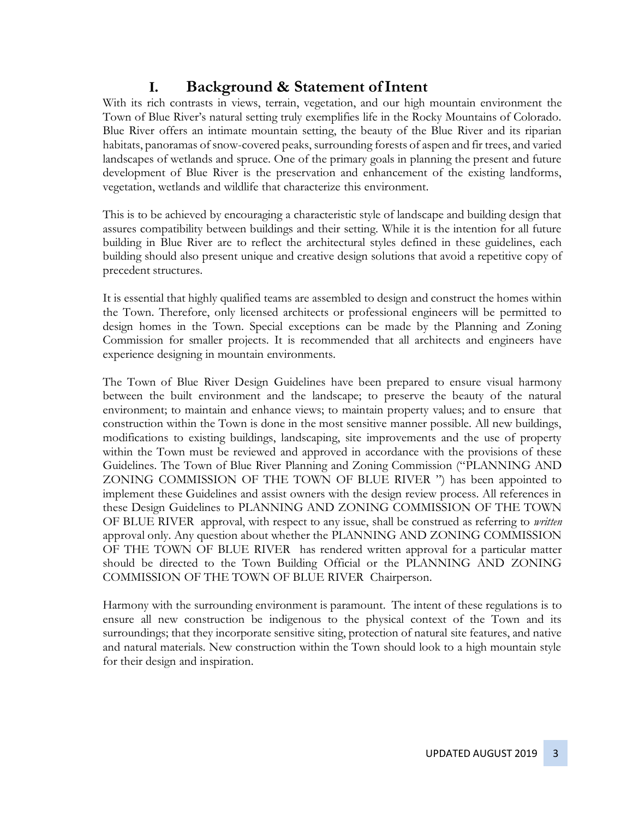# **I. Background & Statement ofIntent**

With its rich contrasts in views, terrain, vegetation, and our high mountain environment the Town of Blue River's natural setting truly exemplifies life in the Rocky Mountains of Colorado. Blue River offers an intimate mountain setting, the beauty of the Blue River and its riparian habitats, panoramas of snow-covered peaks, surrounding forests of aspen and fir trees, and varied landscapes of wetlands and spruce. One of the primary goals in planning the present and future development of Blue River is the preservation and enhancement of the existing landforms, vegetation, wetlands and wildlife that characterize this environment.

This is to be achieved by encouraging a characteristic style of landscape and building design that assures compatibility between buildings and their setting. While it is the intention for all future building in Blue River are to reflect the architectural styles defined in these guidelines, each building should also present unique and creative design solutions that avoid a repetitive copy of precedent structures.

It is essential that highly qualified teams are assembled to design and construct the homes within the Town. Therefore, only licensed architects or professional engineers will be permitted to design homes in the Town. Special exceptions can be made by the Planning and Zoning Commission for smaller projects. It is recommended that all architects and engineers have experience designing in mountain environments.

The Town of Blue River Design Guidelines have been prepared to ensure visual harmony between the built environment and the landscape; to preserve the beauty of the natural environment; to maintain and enhance views; to maintain property values; and to ensure that construction within the Town is done in the most sensitive manner possible. All new buildings, modifications to existing buildings, landscaping, site improvements and the use of property within the Town must be reviewed and approved in accordance with the provisions of these Guidelines. The Town of Blue River Planning and Zoning Commission ("PLANNING AND ZONING COMMISSION OF THE TOWN OF BLUE RIVER ") has been appointed to implement these Guidelines and assist owners with the design review process. All references in these Design Guidelines to PLANNING AND ZONING COMMISSION OF THE TOWN OF BLUE RIVER approval, with respect to any issue, shall be construed as referring to *written*  approval only. Any question about whether the PLANNING AND ZONING COMMISSION OF THE TOWN OF BLUE RIVER has rendered written approval for a particular matter should be directed to the Town Building Official or the PLANNING AND ZONING COMMISSION OF THE TOWN OF BLUE RIVER Chairperson.

Harmony with the surrounding environment is paramount. The intent of these regulations is to ensure all new construction be indigenous to the physical context of the Town and its surroundings; that they incorporate sensitive siting, protection of natural site features, and native and natural materials. New construction within the Town should look to a high mountain style for their design and inspiration.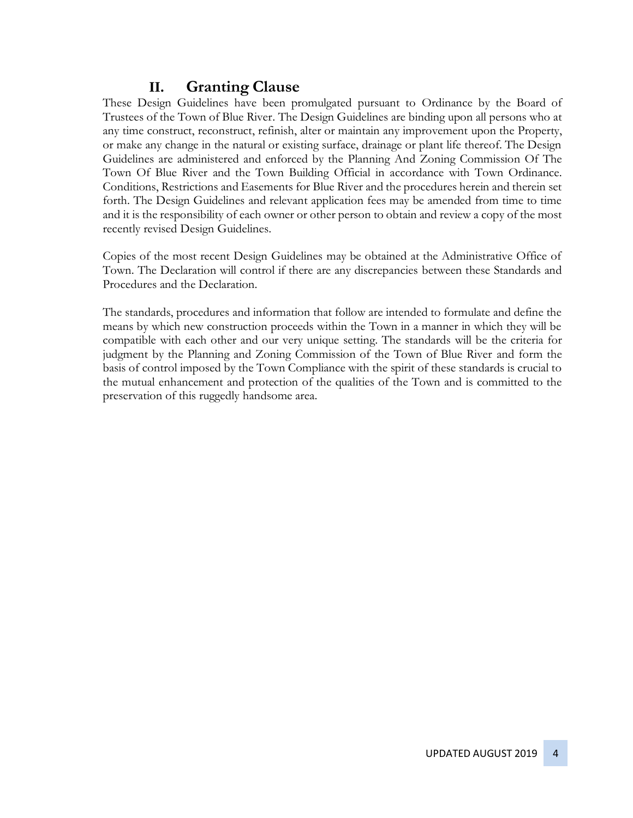# **II. Granting Clause**

These Design Guidelines have been promulgated pursuant to Ordinance by the Board of Trustees of the Town of Blue River. The Design Guidelines are binding upon all persons who at any time construct, reconstruct, refinish, alter or maintain any improvement upon the Property, or make any change in the natural or existing surface, drainage or plant life thereof. The Design Guidelines are administered and enforced by the Planning And Zoning Commission Of The Town Of Blue River and the Town Building Official in accordance with Town Ordinance. Conditions, Restrictions and Easements for Blue River and the procedures herein and therein set forth. The Design Guidelines and relevant application fees may be amended from time to time and it is the responsibility of each owner or other person to obtain and review a copy of the most recently revised Design Guidelines.

Copies of the most recent Design Guidelines may be obtained at the Administrative Office of Town. The Declaration will control if there are any discrepancies between these Standards and Procedures and the Declaration.

The standards, procedures and information that follow are intended to formulate and define the means by which new construction proceeds within the Town in a manner in which they will be compatible with each other and our very unique setting. The standards will be the criteria for judgment by the Planning and Zoning Commission of the Town of Blue River and form the basis of control imposed by the Town Compliance with the spirit of these standards is crucial to the mutual enhancement and protection of the qualities of the Town and is committed to the preservation of this ruggedly handsome area.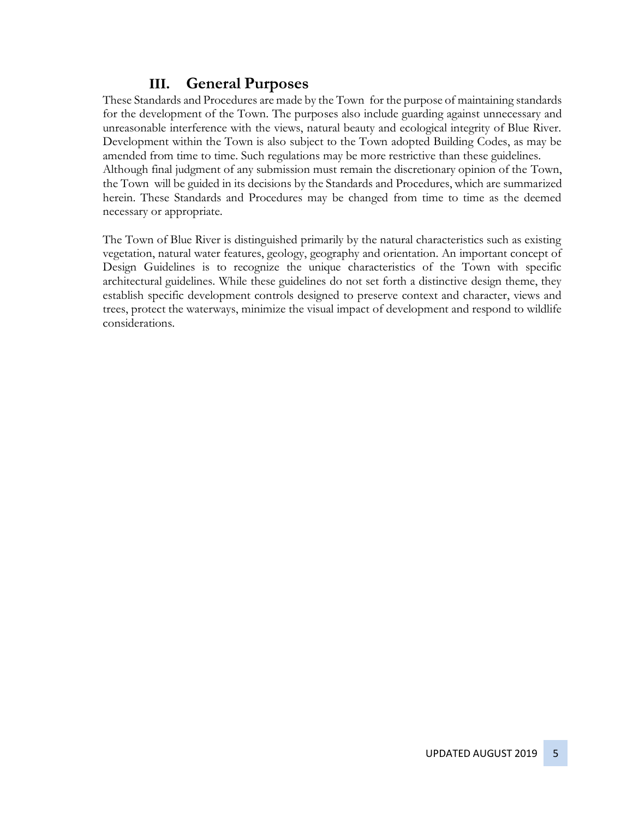# **III. General Purposes**

These Standards and Procedures are made by the Town for the purpose of maintaining standards for the development of the Town. The purposes also include guarding against unnecessary and unreasonable interference with the views, natural beauty and ecological integrity of Blue River. Development within the Town is also subject to the Town adopted Building Codes, as may be amended from time to time. Such regulations may be more restrictive than these guidelines. Although final judgment of any submission must remain the discretionary opinion of the Town, the Town will be guided in its decisions by the Standards and Procedures, which are summarized herein. These Standards and Procedures may be changed from time to time as the deemed necessary or appropriate.

The Town of Blue River is distinguished primarily by the natural characteristics such as existing vegetation, natural water features, geology, geography and orientation. An important concept of Design Guidelines is to recognize the unique characteristics of the Town with specific architectural guidelines. While these guidelines do not set forth a distinctive design theme, they establish specific development controls designed to preserve context and character, views and trees, protect the waterways, minimize the visual impact of development and respond to wildlife considerations.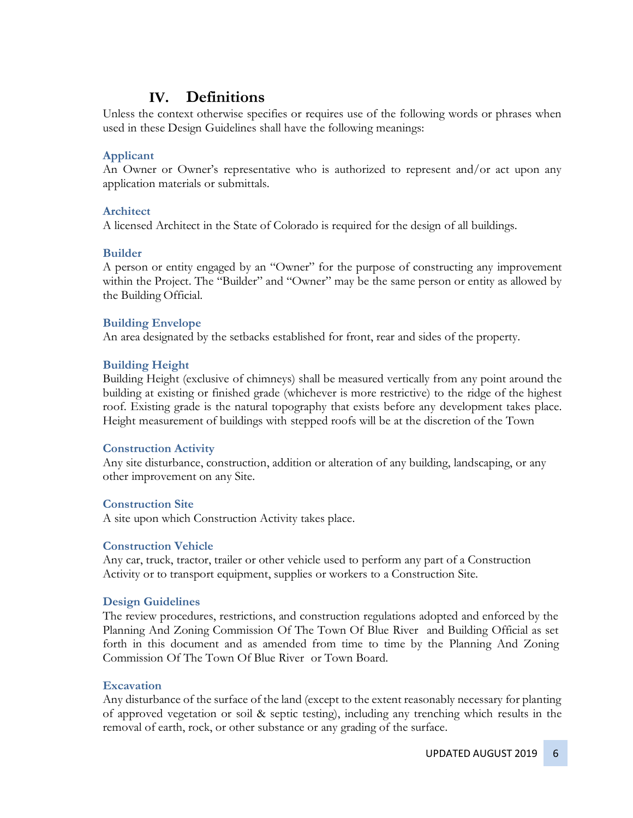## **IV. Definitions**

Unless the context otherwise specifies or requires use of the following words or phrases when used in these Design Guidelines shall have the following meanings:

#### **Applicant**

An Owner or Owner's representative who is authorized to represent and/or act upon any application materials or submittals.

#### **Architect**

A licensed Architect in the State of Colorado is required for the design of all buildings.

#### **Builder**

A person or entity engaged by an "Owner" for the purpose of constructing any improvement within the Project. The "Builder" and "Owner" may be the same person or entity as allowed by the Building Official.

#### **Building Envelope**

An area designated by the setbacks established for front, rear and sides of the property.

#### **Building Height**

Building Height (exclusive of chimneys) shall be measured vertically from any point around the building at existing or finished grade (whichever is more restrictive) to the ridge of the highest roof. Existing grade is the natural topography that exists before any development takes place. Height measurement of buildings with stepped roofs will be at the discretion of the Town

#### **Construction Activity**

Any site disturbance, construction, addition or alteration of any building, landscaping, or any other improvement on any Site.

#### **Construction Site**

A site upon which Construction Activity takes place.

#### **Construction Vehicle**

Any car, truck, tractor, trailer or other vehicle used to perform any part of a Construction Activity or to transport equipment, supplies or workers to a Construction Site.

#### **Design Guidelines**

The review procedures, restrictions, and construction regulations adopted and enforced by the Planning And Zoning Commission Of The Town Of Blue River and Building Official as set forth in this document and as amended from time to time by the Planning And Zoning Commission Of The Town Of Blue River or Town Board.

#### **Excavation**

Any disturbance of the surface of the land (except to the extent reasonably necessary for planting of approved vegetation or soil & septic testing), including any trenching which results in the removal of earth, rock, or other substance or any grading of the surface.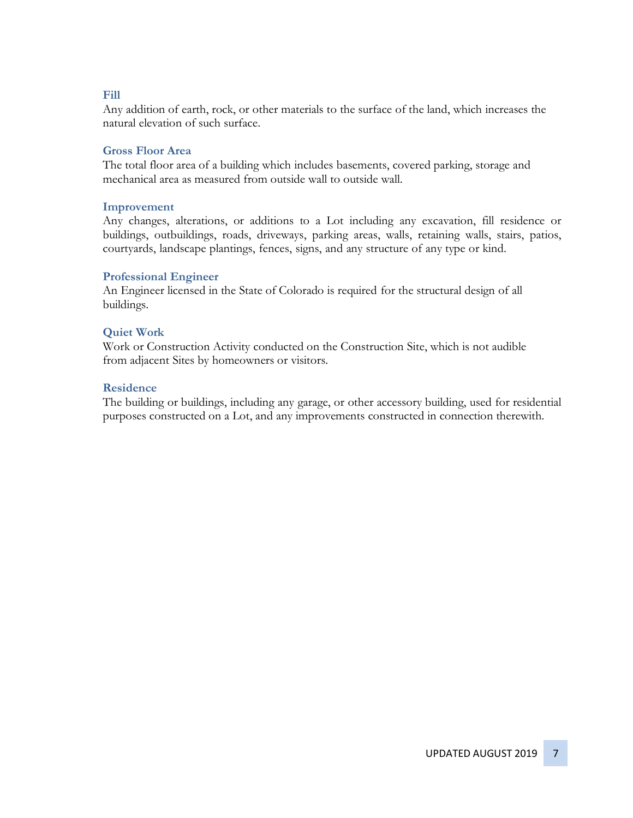#### **Fill**

Any addition of earth, rock, or other materials to the surface of the land, which increases the natural elevation of such surface.

#### **Gross Floor Area**

The total floor area of a building which includes basements, covered parking, storage and mechanical area as measured from outside wall to outside wall.

#### **Improvement**

Any changes, alterations, or additions to a Lot including any excavation, fill residence or buildings, outbuildings, roads, driveways, parking areas, walls, retaining walls, stairs, patios, courtyards, landscape plantings, fences, signs, and any structure of any type or kind.

#### **Professional Engineer**

An Engineer licensed in the State of Colorado is required for the structural design of all buildings.

#### **Quiet Work**

Work or Construction Activity conducted on the Construction Site, which is not audible from adjacent Sites by homeowners or visitors.

#### **Residence**

The building or buildings, including any garage, or other accessory building, used for residential purposes constructed on a Lot, and any improvements constructed in connection therewith.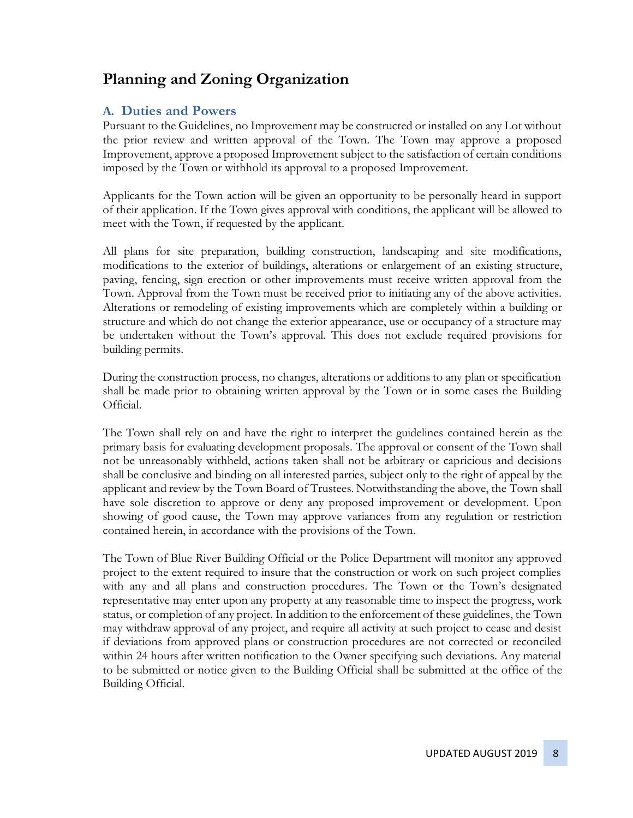# **Planning and Zoning Organization**

### **A. Duties and Powers**

Pursuant to the Guidelines, no Improvement may be constructed or installed on any Lot without the prior review and written approval of the Town. The Town may approve a proposed Improvement, approve a proposed Improvement subject to the satisfaction of certain conditions imposed by the Town or withhold its approval to a proposed Improvement.

Applicants for the Town action will be given an opportunity to be personally heard in support of their application. If the Town gives approval with conditions, the applicant will be allowed to meet with the Town, if requested by the applicant.

All plans for site preparation, building construction, landscaping and site modifications, modifications to the exterior of buildings, alterations or enlargement of an existing structure, paving, fencing, sign erection or other improvements must receive written approval from the Town. Approval from the Town must be received prior to initiating any of the above activities. Alterations or remodeling of existing improvements which are completely within a building or structure and which do not change the exterior appearance, use or occupancy of a structure may be undertaken without the Town's approval. This does not exclude required provisions for building permits.

During the construction process, no changes, alterations or additions to any plan or specification shall be made prior to obtaining written approval by the Town or in some cases the Building Official.

The Town shall rely on and have the right to interpret the guidelines contained herein as the primary basis for evaluating development proposals. The approval or consent of the Town shall not be unreasonably withheld, actions taken shall not be arbitrary or capricious and decisions shall be conclusive and binding on all interested parties, subject only to the right of appeal by the applicant and review by the Town Board of Trustees. Notwithstanding the above, the Town shall have sole discretion to approve or deny any proposed improvement or development. Upon showing of good cause, the Town may approve variances from any regulation or restriction contained herein, in accordance with the provisions of the Town.

The Town of Blue River Building Official or the Police Department will monitor any approved project to the extent required to insure that the construction or work on such project complies with any and all plans and construction procedures. The Town or the Town's designated representative may enter upon any property at any reasonable time to inspect the progress, work status, or completion of any project. In addition to the enforcement of these guidelines, the Town may withdraw approval of any project, and require all activity at such project to cease and desist if deviations from approved plans or construction procedures are not corrected or reconciled within 24 hours after written notification to the Owner specifying such deviations. Any material to be submitted or notice given to the Building Official shall be submitted at the office of the Building Official.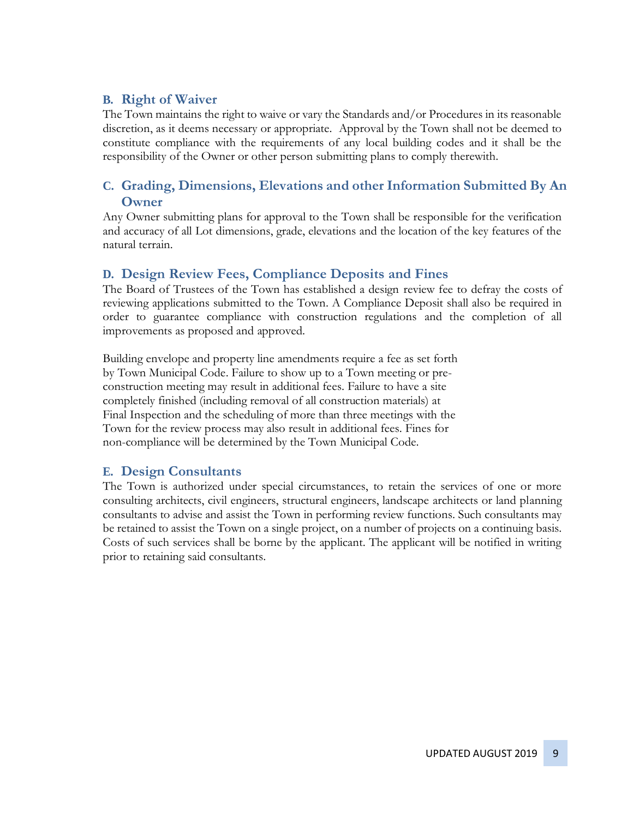### **B. Right of Waiver**

The Town maintains the right to waive or vary the Standards and/or Procedures in its reasonable discretion, as it deems necessary or appropriate. Approval by the Town shall not be deemed to constitute compliance with the requirements of any local building codes and it shall be the responsibility of the Owner or other person submitting plans to comply therewith.

### **C. Grading, Dimensions, Elevations and other Information Submitted By An Owner**

Any Owner submitting plans for approval to the Town shall be responsible for the verification and accuracy of all Lot dimensions, grade, elevations and the location of the key features of the natural terrain.

#### **D. Design Review Fees, Compliance Deposits and Fines**

The Board of Trustees of the Town has established a design review fee to defray the costs of reviewing applications submitted to the Town. A Compliance Deposit shall also be required in order to guarantee compliance with construction regulations and the completion of all improvements as proposed and approved.

Building envelope and property line amendments require a fee as set forth by Town Municipal Code. Failure to show up to a Town meeting or preconstruction meeting may result in additional fees. Failure to have a site completely finished (including removal of all construction materials) at Final Inspection and the scheduling of more than three meetings with the Town for the review process may also result in additional fees. Fines for non-compliance will be determined by the Town Municipal Code.

### **E. Design Consultants**

The Town is authorized under special circumstances, to retain the services of one or more consulting architects, civil engineers, structural engineers, landscape architects or land planning consultants to advise and assist the Town in performing review functions. Such consultants may be retained to assist the Town on a single project, on a number of projects on a continuing basis. Costs of such services shall be borne by the applicant. The applicant will be notified in writing prior to retaining said consultants.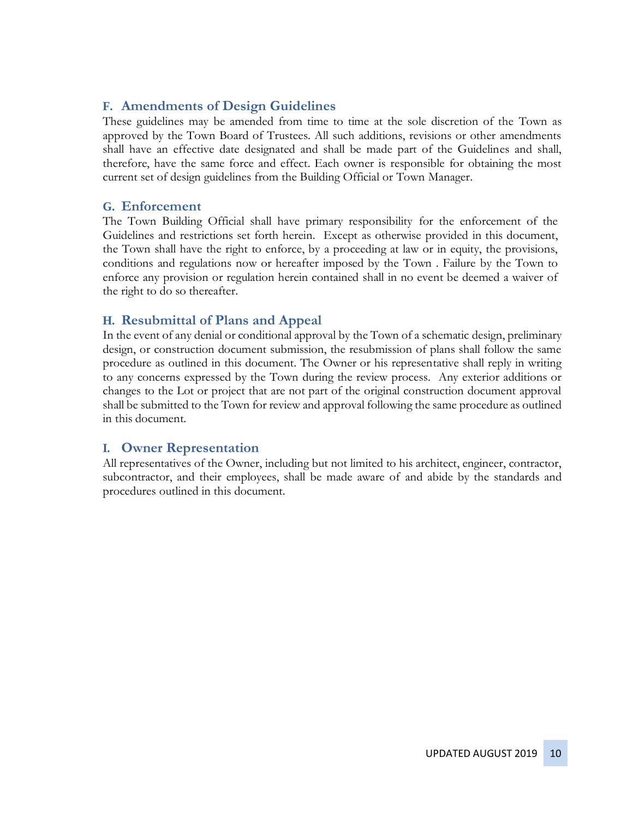### **F. Amendments of Design Guidelines**

These guidelines may be amended from time to time at the sole discretion of the Town as approved by the Town Board of Trustees. All such additions, revisions or other amendments shall have an effective date designated and shall be made part of the Guidelines and shall, therefore, have the same force and effect. Each owner is responsible for obtaining the most current set of design guidelines from the Building Official or Town Manager.

#### **G. Enforcement**

The Town Building Official shall have primary responsibility for the enforcement of the Guidelines and restrictions set forth herein. Except as otherwise provided in this document, the Town shall have the right to enforce, by a proceeding at law or in equity, the provisions, conditions and regulations now or hereafter imposed by the Town . Failure by the Town to enforce any provision or regulation herein contained shall in no event be deemed a waiver of the right to do so thereafter.

### **H. Resubmittal of Plans and Appeal**

In the event of any denial or conditional approval by the Town of a schematic design, preliminary design, or construction document submission, the resubmission of plans shall follow the same procedure as outlined in this document. The Owner or his representative shall reply in writing to any concerns expressed by the Town during the review process. Any exterior additions or changes to the Lot or project that are not part of the original construction document approval shall be submitted to the Town for review and approval following the same procedure as outlined in this document.

#### **I. Owner Representation**

All representatives of the Owner, including but not limited to his architect, engineer, contractor, subcontractor, and their employees, shall be made aware of and abide by the standards and procedures outlined in this document.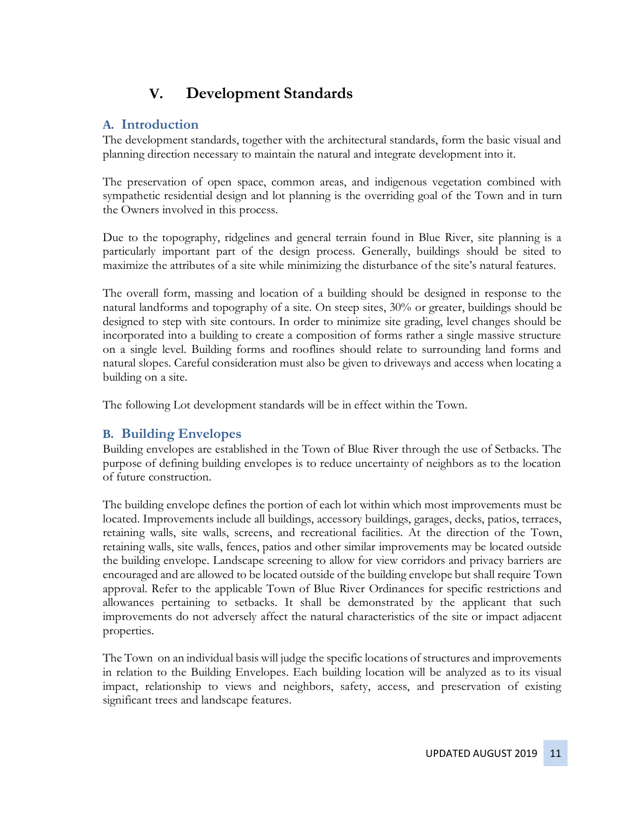# **V. Development Standards**

### **A. Introduction**

The development standards, together with the architectural standards, form the basic visual and planning direction necessary to maintain the natural and integrate development into it.

The preservation of open space, common areas, and indigenous vegetation combined with sympathetic residential design and lot planning is the overriding goal of the Town and in turn the Owners involved in this process.

Due to the topography, ridgelines and general terrain found in Blue River, site planning is a particularly important part of the design process. Generally, buildings should be sited to maximize the attributes of a site while minimizing the disturbance of the site's natural features.

The overall form, massing and location of a building should be designed in response to the natural landforms and topography of a site. On steep sites, 30% or greater, buildings should be designed to step with site contours. In order to minimize site grading, level changes should be incorporated into a building to create a composition of forms rather a single massive structure on a single level. Building forms and rooflines should relate to surrounding land forms and natural slopes. Careful consideration must also be given to driveways and access when locating a building on a site.

The following Lot development standards will be in effect within the Town.

### **B. Building Envelopes**

Building envelopes are established in the Town of Blue River through the use of Setbacks. The purpose of defining building envelopes is to reduce uncertainty of neighbors as to the location of future construction.

The building envelope defines the portion of each lot within which most improvements must be located. Improvements include all buildings, accessory buildings, garages, decks, patios, terraces, retaining walls, site walls, screens, and recreational facilities. At the direction of the Town, retaining walls, site walls, fences, patios and other similar improvements may be located outside the building envelope. Landscape screening to allow for view corridors and privacy barriers are encouraged and are allowed to be located outside of the building envelope but shall require Town approval. Refer to the applicable Town of Blue River Ordinances for specific restrictions and allowances pertaining to setbacks. It shall be demonstrated by the applicant that such improvements do not adversely affect the natural characteristics of the site or impact adjacent properties.

The Town on an individual basis will judge the specific locations of structures and improvements in relation to the Building Envelopes. Each building location will be analyzed as to its visual impact, relationship to views and neighbors, safety, access, and preservation of existing significant trees and landscape features.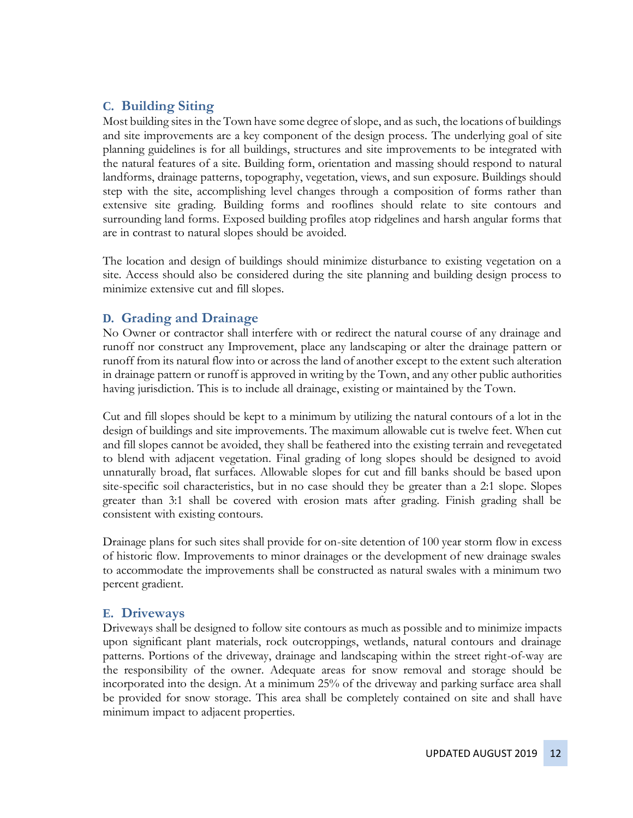### **C. Building Siting**

Most building sites in the Town have some degree of slope, and as such, the locations of buildings and site improvements are a key component of the design process. The underlying goal of site planning guidelines is for all buildings, structures and site improvements to be integrated with the natural features of a site. Building form, orientation and massing should respond to natural landforms, drainage patterns, topography, vegetation, views, and sun exposure. Buildings should step with the site, accomplishing level changes through a composition of forms rather than extensive site grading. Building forms and rooflines should relate to site contours and surrounding land forms. Exposed building profiles atop ridgelines and harsh angular forms that are in contrast to natural slopes should be avoided.

The location and design of buildings should minimize disturbance to existing vegetation on a site. Access should also be considered during the site planning and building design process to minimize extensive cut and fill slopes.

### **D. Grading and Drainage**

No Owner or contractor shall interfere with or redirect the natural course of any drainage and runoff nor construct any Improvement, place any landscaping or alter the drainage pattern or runoff from its natural flow into or across the land of another except to the extent such alteration in drainage pattern or runoff is approved in writing by the Town, and any other public authorities having jurisdiction. This is to include all drainage, existing or maintained by the Town.

Cut and fill slopes should be kept to a minimum by utilizing the natural contours of a lot in the design of buildings and site improvements. The maximum allowable cut is twelve feet. When cut and fill slopes cannot be avoided, they shall be feathered into the existing terrain and revegetated to blend with adjacent vegetation. Final grading of long slopes should be designed to avoid unnaturally broad, flat surfaces. Allowable slopes for cut and fill banks should be based upon site-specific soil characteristics, but in no case should they be greater than a 2:1 slope. Slopes greater than 3:1 shall be covered with erosion mats after grading. Finish grading shall be consistent with existing contours.

Drainage plans for such sites shall provide for on-site detention of 100 year storm flow in excess of historic flow. Improvements to minor drainages or the development of new drainage swales to accommodate the improvements shall be constructed as natural swales with a minimum two percent gradient.

#### **E. Driveways**

Driveways shall be designed to follow site contours as much as possible and to minimize impacts upon significant plant materials, rock outcroppings, wetlands, natural contours and drainage patterns. Portions of the driveway, drainage and landscaping within the street right-of-way are the responsibility of the owner. Adequate areas for snow removal and storage should be incorporated into the design. At a minimum 25% of the driveway and parking surface area shall be provided for snow storage. This area shall be completely contained on site and shall have minimum impact to adjacent properties.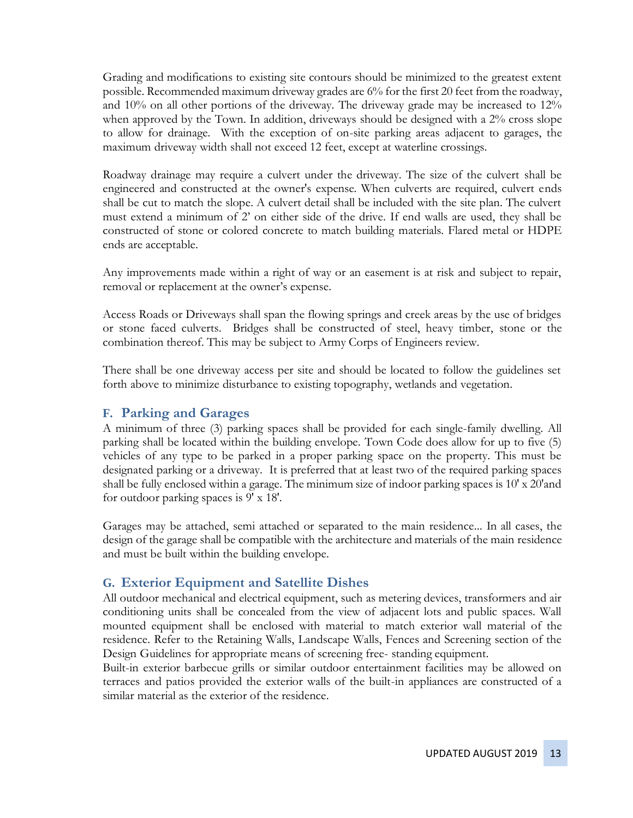Grading and modifications to existing site contours should be minimized to the greatest extent possible. Recommended maximum driveway grades are 6% for the first 20 feet from the roadway, and 10% on all other portions of the driveway. The driveway grade may be increased to 12% when approved by the Town. In addition, driveways should be designed with a 2% cross slope to allow for drainage. With the exception of on-site parking areas adjacent to garages, the maximum driveway width shall not exceed 12 feet, except at waterline crossings.

Roadway drainage may require a culvert under the driveway. The size of the culvert shall be engineered and constructed at the owner's expense. When culverts are required, culvert ends shall be cut to match the slope. A culvert detail shall be included with the site plan. The culvert must extend a minimum of 2' on either side of the drive. If end walls are used, they shall be constructed of stone or colored concrete to match building materials. Flared metal or HDPE ends are acceptable.

Any improvements made within a right of way or an easement is at risk and subject to repair, removal or replacement at the owner's expense.

Access Roads or Driveways shall span the flowing springs and creek areas by the use of bridges or stone faced culverts. Bridges shall be constructed of steel, heavy timber, stone or the combination thereof. This may be subject to Army Corps of Engineers review.

There shall be one driveway access per site and should be located to follow the guidelines set forth above to minimize disturbance to existing topography, wetlands and vegetation.

#### **F. Parking and Garages**

A minimum of three (3) parking spaces shall be provided for each single-family dwelling. All parking shall be located within the building envelope. Town Code does allow for up to five (5) vehicles of any type to be parked in a proper parking space on the property. This must be designated parking or a driveway. It is preferred that at least two of the required parking spaces shall be fully enclosed within a garage. The minimum size of indoor parking spaces is 10' x 20'and for outdoor parking spaces is 9' x 18'.

Garages may be attached, semi attached or separated to the main residence... In all cases, the design of the garage shall be compatible with the architecture and materials of the main residence and must be built within the building envelope.

#### **G. Exterior Equipment and Satellite Dishes**

All outdoor mechanical and electrical equipment, such as metering devices, transformers and air conditioning units shall be concealed from the view of adjacent lots and public spaces. Wall mounted equipment shall be enclosed with material to match exterior wall material of the residence. Refer to the Retaining Walls, Landscape Walls, Fences and Screening section of the Design Guidelines for appropriate means of screening free- standing equipment.

Built-in exterior barbecue grills or similar outdoor entertainment facilities may be allowed on terraces and patios provided the exterior walls of the built-in appliances are constructed of a similar material as the exterior of the residence.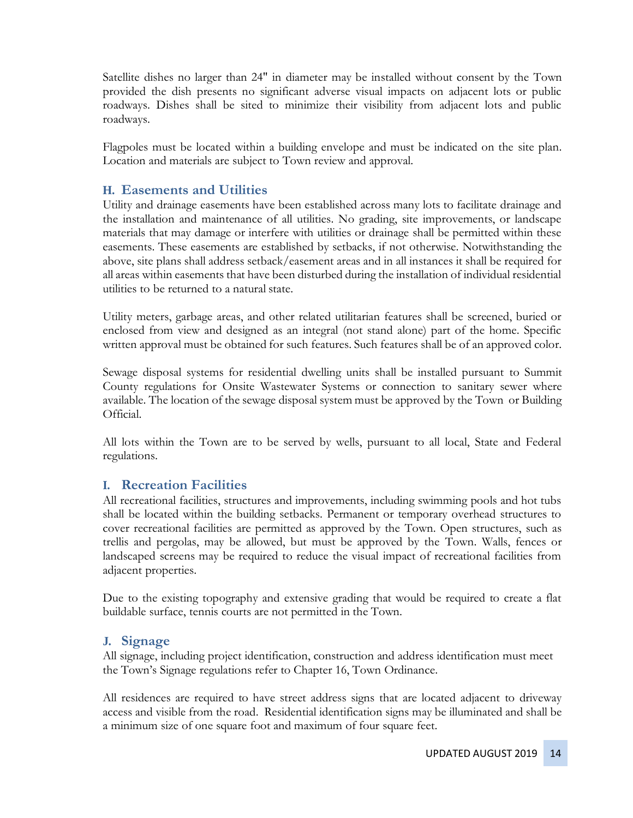Satellite dishes no larger than 24" in diameter may be installed without consent by the Town provided the dish presents no significant adverse visual impacts on adjacent lots or public roadways. Dishes shall be sited to minimize their visibility from adjacent lots and public roadways.

Flagpoles must be located within a building envelope and must be indicated on the site plan. Location and materials are subject to Town review and approval.

#### **H. Easements and Utilities**

Utility and drainage easements have been established across many lots to facilitate drainage and the installation and maintenance of all utilities. No grading, site improvements, or landscape materials that may damage or interfere with utilities or drainage shall be permitted within these easements. These easements are established by setbacks, if not otherwise. Notwithstanding the above, site plans shall address setback/easement areas and in all instances it shall be required for all areas within easements that have been disturbed during the installation of individual residential utilities to be returned to a natural state.

Utility meters, garbage areas, and other related utilitarian features shall be screened, buried or enclosed from view and designed as an integral (not stand alone) part of the home. Specific written approval must be obtained for such features. Such features shall be of an approved color.

Sewage disposal systems for residential dwelling units shall be installed pursuant to Summit County regulations for Onsite Wastewater Systems or connection to sanitary sewer where available. The location of the sewage disposal system must be approved by the Town or Building Official.

All lots within the Town are to be served by wells, pursuant to all local, State and Federal regulations.

#### **I. Recreation Facilities**

All recreational facilities, structures and improvements, including swimming pools and hot tubs shall be located within the building setbacks. Permanent or temporary overhead structures to cover recreational facilities are permitted as approved by the Town. Open structures, such as trellis and pergolas, may be allowed, but must be approved by the Town. Walls, fences or landscaped screens may be required to reduce the visual impact of recreational facilities from adjacent properties.

Due to the existing topography and extensive grading that would be required to create a flat buildable surface, tennis courts are not permitted in the Town.

#### **J. Signage**

All signage, including project identification, construction and address identification must meet the Town's Signage regulations refer to Chapter 16, Town Ordinance.

All residences are required to have street address signs that are located adjacent to driveway access and visible from the road. Residential identification signs may be illuminated and shall be a minimum size of one square foot and maximum of four square feet.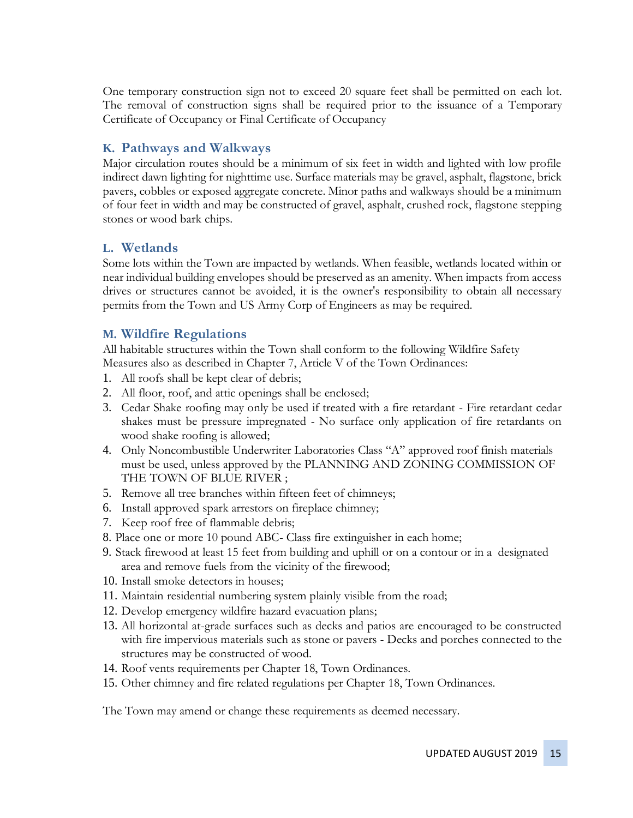One temporary construction sign not to exceed 20 square feet shall be permitted on each lot. The removal of construction signs shall be required prior to the issuance of a Temporary Certificate of Occupancy or Final Certificate of Occupancy

#### **K. Pathways and Walkways**

Major circulation routes should be a minimum of six feet in width and lighted with low profile indirect dawn lighting for nighttime use. Surface materials may be gravel, asphalt, flagstone, brick pavers, cobbles or exposed aggregate concrete. Minor paths and walkways should be a minimum of four feet in width and may be constructed of gravel, asphalt, crushed rock, flagstone stepping stones or wood bark chips.

#### **L. Wetlands**

Some lots within the Town are impacted by wetlands. When feasible, wetlands located within or near individual building envelopes should be preserved as an amenity. When impacts from access drives or structures cannot be avoided, it is the owner's responsibility to obtain all necessary permits from the Town and US Army Corp of Engineers as may be required.

#### **M. Wildfire Regulations**

All habitable structures within the Town shall conform to the following Wildfire Safety Measures also as described in Chapter 7, Article V of the Town Ordinances:

- 1. All roofs shall be kept clear of debris;
- 2. All floor, roof, and attic openings shall be enclosed;
- 3. Cedar Shake roofing may only be used if treated with a fire retardant Fire retardant cedar shakes must be pressure impregnated - No surface only application of fire retardants on wood shake roofing is allowed;
- 4. Only Noncombustible Underwriter Laboratories Class "A" approved roof finish materials must be used, unless approved by the PLANNING AND ZONING COMMISSION OF THE TOWN OF BLUE RIVER ;
- 5. Remove all tree branches within fifteen feet of chimneys;
- 6. Install approved spark arrestors on fireplace chimney;
- 7. Keep roof free of flammable debris;
- 8. Place one or more 10 pound ABC- Class fire extinguisher in each home;
- 9. Stack firewood at least 15 feet from building and uphill or on a contour or in a designated area and remove fuels from the vicinity of the firewood;
- 10. Install smoke detectors in houses;
- 11. Maintain residential numbering system plainly visible from the road;
- 12. Develop emergency wildfire hazard evacuation plans;
- 13. All horizontal at-grade surfaces such as decks and patios are encouraged to be constructed with fire impervious materials such as stone or pavers - Decks and porches connected to the structures may be constructed of wood.
- 14. Roof vents requirements per Chapter 18, Town Ordinances.
- 15. Other chimney and fire related regulations per Chapter 18, Town Ordinances.

The Town may amend or change these requirements as deemed necessary.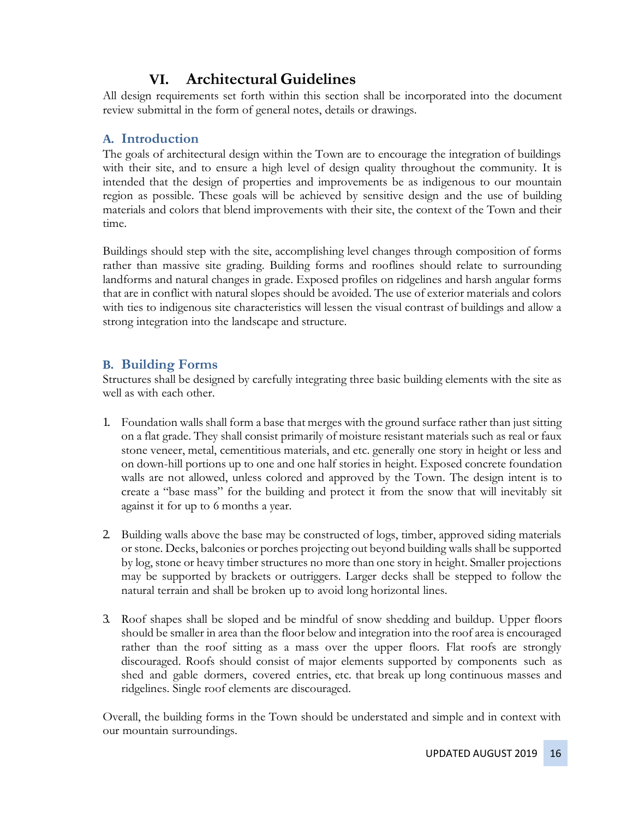# **VI. Architectural Guidelines**

All design requirements set forth within this section shall be incorporated into the document review submittal in the form of general notes, details or drawings.

### **A. Introduction**

The goals of architectural design within the Town are to encourage the integration of buildings with their site, and to ensure a high level of design quality throughout the community. It is intended that the design of properties and improvements be as indigenous to our mountain region as possible. These goals will be achieved by sensitive design and the use of building materials and colors that blend improvements with their site, the context of the Town and their time.

Buildings should step with the site, accomplishing level changes through composition of forms rather than massive site grading. Building forms and rooflines should relate to surrounding landforms and natural changes in grade. Exposed profiles on ridgelines and harsh angular forms that are in conflict with natural slopes should be avoided. The use of exterior materials and colors with ties to indigenous site characteristics will lessen the visual contrast of buildings and allow a strong integration into the landscape and structure.

### **B. Building Forms**

Structures shall be designed by carefully integrating three basic building elements with the site as well as with each other.

- 1. Foundation walls shall form a base that merges with the ground surface rather than just sitting on a flat grade. They shall consist primarily of moisture resistant materials such as real or faux stone veneer, metal, cementitious materials, and etc. generally one story in height or less and on down-hill portions up to one and one half stories in height. Exposed concrete foundation walls are not allowed, unless colored and approved by the Town. The design intent is to create a "base mass" for the building and protect it from the snow that will inevitably sit against it for up to 6 months a year.
- 2. Building walls above the base may be constructed of logs, timber, approved siding materials or stone. Decks, balconies or porches projecting out beyond building walls shall be supported by log, stone or heavy timber structures no more than one story in height. Smaller projections may be supported by brackets or outriggers. Larger decks shall be stepped to follow the natural terrain and shall be broken up to avoid long horizontal lines.
- 3. Roof shapes shall be sloped and be mindful of snow shedding and buildup. Upper floors should be smaller in area than the floor below and integration into the roof area is encouraged rather than the roof sitting as a mass over the upper floors. Flat roofs are strongly discouraged. Roofs should consist of major elements supported by components such as shed and gable dormers, covered entries, etc. that break up long continuous masses and ridgelines. Single roof elements are discouraged.

Overall, the building forms in the Town should be understated and simple and in context with our mountain surroundings.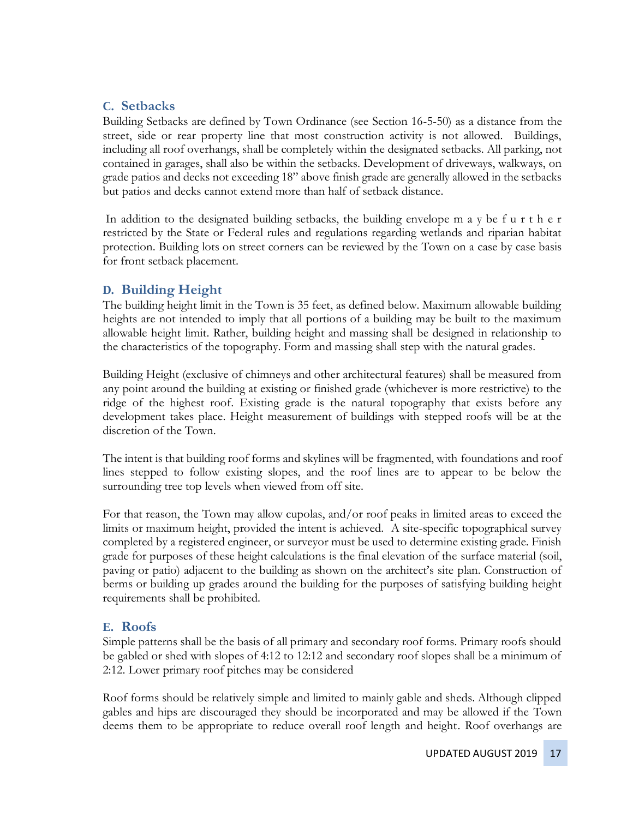### **C. Setbacks**

Building Setbacks are defined by Town Ordinance (see Section 16-5-50) as a distance from the street, side or rear property line that most construction activity is not allowed. Buildings, including all roof overhangs, shall be completely within the designated setbacks. All parking, not contained in garages, shall also be within the setbacks. Development of driveways, walkways, on grade patios and decks not exceeding 18" above finish grade are generally allowed in the setbacks but patios and decks cannot extend more than half of setback distance.

In addition to the designated building setbacks, the building envelope  $m \cdot a \cdot y$  be f u r t h e r restricted by the State or Federal rules and regulations regarding wetlands and riparian habitat protection. Building lots on street corners can be reviewed by the Town on a case by case basis for front setback placement.

### **D. Building Height**

The building height limit in the Town is 35 feet, as defined below. Maximum allowable building heights are not intended to imply that all portions of a building may be built to the maximum allowable height limit. Rather, building height and massing shall be designed in relationship to the characteristics of the topography. Form and massing shall step with the natural grades.

Building Height (exclusive of chimneys and other architectural features) shall be measured from any point around the building at existing or finished grade (whichever is more restrictive) to the ridge of the highest roof. Existing grade is the natural topography that exists before any development takes place. Height measurement of buildings with stepped roofs will be at the discretion of the Town.

The intent is that building roof forms and skylines will be fragmented, with foundations and roof lines stepped to follow existing slopes, and the roof lines are to appear to be below the surrounding tree top levels when viewed from off site.

For that reason, the Town may allow cupolas, and/or roof peaks in limited areas to exceed the limits or maximum height, provided the intent is achieved. A site-specific topographical survey completed by a registered engineer, or surveyor must be used to determine existing grade. Finish grade for purposes of these height calculations is the final elevation of the surface material (soil, paving or patio) adjacent to the building as shown on the architect's site plan. Construction of berms or building up grades around the building for the purposes of satisfying building height requirements shall be prohibited.

### **E. Roofs**

Simple patterns shall be the basis of all primary and secondary roof forms. Primary roofs should be gabled or shed with slopes of 4:12 to 12:12 and secondary roof slopes shall be a minimum of 2:12. Lower primary roof pitches may be considered

Roof forms should be relatively simple and limited to mainly gable and sheds. Although clipped gables and hips are discouraged they should be incorporated and may be allowed if the Town deems them to be appropriate to reduce overall roof length and height. Roof overhangs are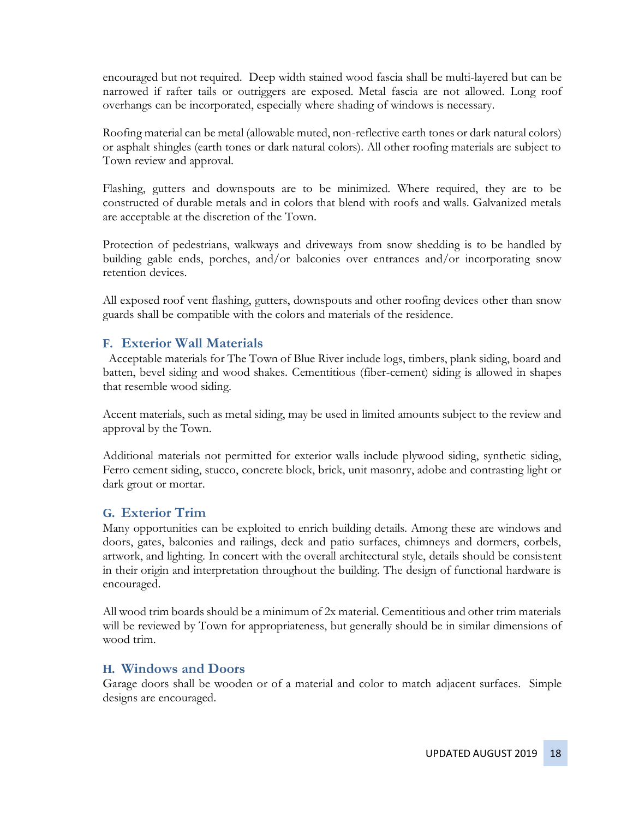encouraged but not required. Deep width stained wood fascia shall be multi-layered but can be narrowed if rafter tails or outriggers are exposed. Metal fascia are not allowed. Long roof overhangs can be incorporated, especially where shading of windows is necessary.

Roofing material can be metal (allowable muted, non-reflective earth tones or dark natural colors) or asphalt shingles (earth tones or dark natural colors). All other roofing materials are subject to Town review and approval.

Flashing, gutters and downspouts are to be minimized. Where required, they are to be constructed of durable metals and in colors that blend with roofs and walls. Galvanized metals are acceptable at the discretion of the Town.

Protection of pedestrians, walkways and driveways from snow shedding is to be handled by building gable ends, porches, and/or balconies over entrances and/or incorporating snow retention devices.

All exposed roof vent flashing, gutters, downspouts and other roofing devices other than snow guards shall be compatible with the colors and materials of the residence.

#### **F. Exterior Wall Materials**

Acceptable materials for The Town of Blue River include logs, timbers, plank siding, board and batten, bevel siding and wood shakes. Cementitious (fiber-cement) siding is allowed in shapes that resemble wood siding.

Accent materials, such as metal siding, may be used in limited amounts subject to the review and approval by the Town.

Additional materials not permitted for exterior walls include plywood siding, synthetic siding, Ferro cement siding, stucco, concrete block, brick, unit masonry, adobe and contrasting light or dark grout or mortar.

#### **G. Exterior Trim**

Many opportunities can be exploited to enrich building details. Among these are windows and doors, gates, balconies and railings, deck and patio surfaces, chimneys and dormers, corbels, artwork, and lighting. In concert with the overall architectural style, details should be consistent in their origin and interpretation throughout the building. The design of functional hardware is encouraged.

All wood trim boards should be a minimum of 2x material. Cementitious and other trim materials will be reviewed by Town for appropriateness, but generally should be in similar dimensions of wood trim.

#### **H. Windows and Doors**

Garage doors shall be wooden or of a material and color to match adjacent surfaces. Simple designs are encouraged.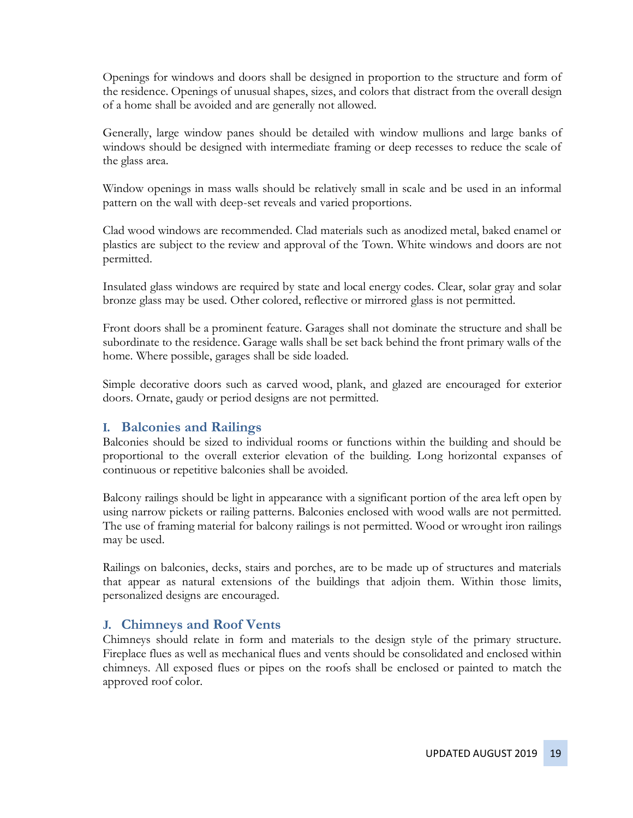Openings for windows and doors shall be designed in proportion to the structure and form of the residence. Openings of unusual shapes, sizes, and colors that distract from the overall design of a home shall be avoided and are generally not allowed.

Generally, large window panes should be detailed with window mullions and large banks of windows should be designed with intermediate framing or deep recesses to reduce the scale of the glass area.

Window openings in mass walls should be relatively small in scale and be used in an informal pattern on the wall with deep-set reveals and varied proportions.

Clad wood windows are recommended. Clad materials such as anodized metal, baked enamel or plastics are subject to the review and approval of the Town. White windows and doors are not permitted.

Insulated glass windows are required by state and local energy codes. Clear, solar gray and solar bronze glass may be used. Other colored, reflective or mirrored glass is not permitted.

Front doors shall be a prominent feature. Garages shall not dominate the structure and shall be subordinate to the residence. Garage walls shall be set back behind the front primary walls of the home. Where possible, garages shall be side loaded.

Simple decorative doors such as carved wood, plank, and glazed are encouraged for exterior doors. Ornate, gaudy or period designs are not permitted.

#### **I. Balconies and Railings**

Balconies should be sized to individual rooms or functions within the building and should be proportional to the overall exterior elevation of the building. Long horizontal expanses of continuous or repetitive balconies shall be avoided.

Balcony railings should be light in appearance with a significant portion of the area left open by using narrow pickets or railing patterns. Balconies enclosed with wood walls are not permitted. The use of framing material for balcony railings is not permitted. Wood or wrought iron railings may be used.

Railings on balconies, decks, stairs and porches, are to be made up of structures and materials that appear as natural extensions of the buildings that adjoin them. Within those limits, personalized designs are encouraged.

#### **J. Chimneys and Roof Vents**

Chimneys should relate in form and materials to the design style of the primary structure. Fireplace flues as well as mechanical flues and vents should be consolidated and enclosed within chimneys. All exposed flues or pipes on the roofs shall be enclosed or painted to match the approved roof color.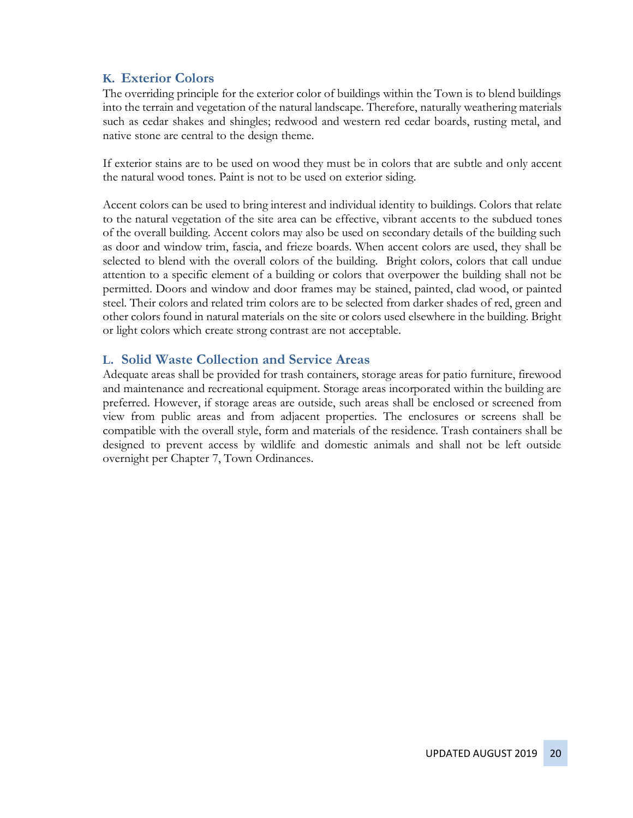### **K. Exterior Colors**

The overriding principle for the exterior color of buildings within the Town is to blend buildings into the terrain and vegetation of the natural landscape. Therefore, naturally weathering materials such as cedar shakes and shingles; redwood and western red cedar boards, rusting metal, and native stone are central to the design theme.

If exterior stains are to be used on wood they must be in colors that are subtle and only accent the natural wood tones. Paint is not to be used on exterior siding.

Accent colors can be used to bring interest and individual identity to buildings. Colors that relate to the natural vegetation of the site area can be effective, vibrant accents to the subdued tones of the overall building. Accent colors may also be used on secondary details of the building such as door and window trim, fascia, and frieze boards. When accent colors are used, they shall be selected to blend with the overall colors of the building. Bright colors, colors that call undue attention to a specific element of a building or colors that overpower the building shall not be permitted. Doors and window and door frames may be stained, painted, clad wood, or painted steel. Their colors and related trim colors are to be selected from darker shades of red, green and other colors found in natural materials on the site or colors used elsewhere in the building. Bright or light colors which create strong contrast are not acceptable.

#### **L. Solid Waste Collection and Service Areas**

Adequate areas shall be provided for trash containers, storage areas for patio furniture, firewood and maintenance and recreational equipment. Storage areas incorporated within the building are preferred. However, if storage areas are outside, such areas shall be enclosed or screened from view from public areas and from adjacent properties. The enclosures or screens shall be compatible with the overall style, form and materials of the residence. Trash containers shall be designed to prevent access by wildlife and domestic animals and shall not be left outside overnight per Chapter 7, Town Ordinances.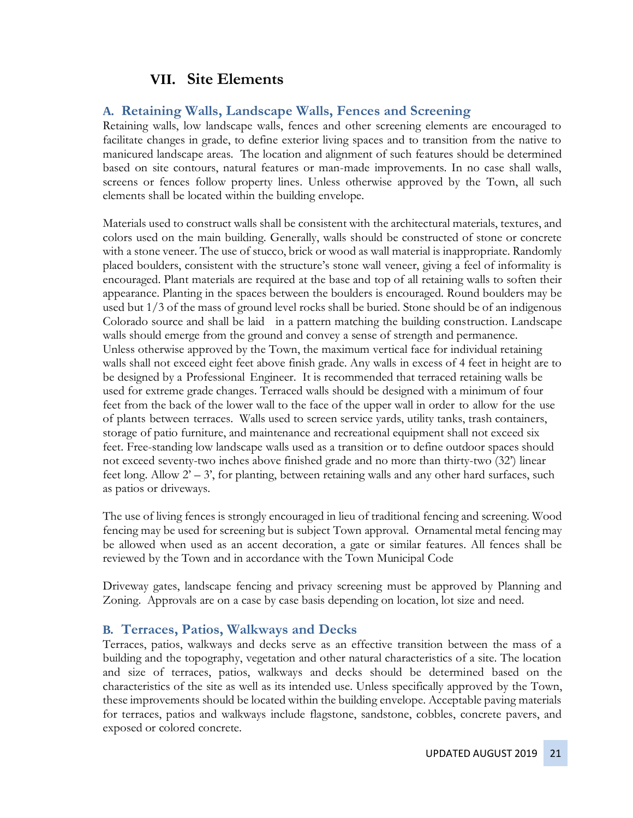### **VII. Site Elements**

#### **A. Retaining Walls, Landscape Walls, Fences and Screening**

Retaining walls, low landscape walls, fences and other screening elements are encouraged to facilitate changes in grade, to define exterior living spaces and to transition from the native to manicured landscape areas. The location and alignment of such features should be determined based on site contours, natural features or man-made improvements. In no case shall walls, screens or fences follow property lines. Unless otherwise approved by the Town, all such elements shall be located within the building envelope.

Materials used to construct walls shall be consistent with the architectural materials, textures, and colors used on the main building. Generally, walls should be constructed of stone or concrete with a stone veneer. The use of stucco, brick or wood as wall material is inappropriate. Randomly placed boulders, consistent with the structure's stone wall veneer, giving a feel of informality is encouraged. Plant materials are required at the base and top of all retaining walls to soften their appearance. Planting in the spaces between the boulders is encouraged. Round boulders may be used but 1/3 of the mass of ground level rocks shall be buried. Stone should be of an indigenous Colorado source and shall be laid in a pattern matching the building construction. Landscape walls should emerge from the ground and convey a sense of strength and permanence. Unless otherwise approved by the Town, the maximum vertical face for individual retaining walls shall not exceed eight feet above finish grade. Any walls in excess of 4 feet in height are to be designed by a Professional Engineer. It is recommended that terraced retaining walls be used for extreme grade changes. Terraced walls should be designed with a minimum of four feet from the back of the lower wall to the face of the upper wall in order to allow for the use of plants between terraces. Walls used to screen service yards, utility tanks, trash containers, storage of patio furniture, and maintenance and recreational equipment shall not exceed six feet. Free-standing low landscape walls used as a transition or to define outdoor spaces should not exceed seventy-two inches above finished grade and no more than thirty-two (32') linear feet long. Allow  $2^{\prime}$  – 3', for planting, between retaining walls and any other hard surfaces, such as patios or driveways.

The use of living fences is strongly encouraged in lieu of traditional fencing and screening. Wood fencing may be used for screening but is subject Town approval. Ornamental metal fencing may be allowed when used as an accent decoration, a gate or similar features. All fences shall be reviewed by the Town and in accordance with the Town Municipal Code

Driveway gates, landscape fencing and privacy screening must be approved by Planning and Zoning. Approvals are on a case by case basis depending on location, lot size and need.

#### **B. Terraces, Patios, Walkways and Decks**

Terraces, patios, walkways and decks serve as an effective transition between the mass of a building and the topography, vegetation and other natural characteristics of a site. The location and size of terraces, patios, walkways and decks should be determined based on the characteristics of the site as well as its intended use. Unless specifically approved by the Town, these improvements should be located within the building envelope. Acceptable paving materials for terraces, patios and walkways include flagstone, sandstone, cobbles, concrete pavers, and exposed or colored concrete.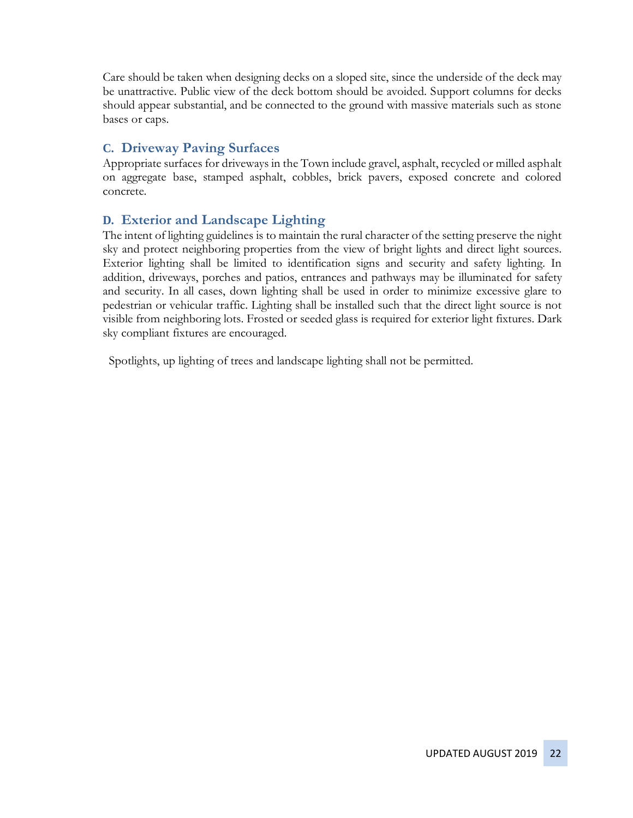Care should be taken when designing decks on a sloped site, since the underside of the deck may be unattractive. Public view of the deck bottom should be avoided. Support columns for decks should appear substantial, and be connected to the ground with massive materials such as stone bases or caps.

### **C. Driveway Paving Surfaces**

Appropriate surfaces for driveways in the Town include gravel, asphalt, recycled or milled asphalt on aggregate base, stamped asphalt, cobbles, brick pavers, exposed concrete and colored concrete.

### **D. Exterior and Landscape Lighting**

The intent of lighting guidelines is to maintain the rural character of the setting preserve the night sky and protect neighboring properties from the view of bright lights and direct light sources. Exterior lighting shall be limited to identification signs and security and safety lighting. In addition, driveways, porches and patios, entrances and pathways may be illuminated for safety and security. In all cases, down lighting shall be used in order to minimize excessive glare to pedestrian or vehicular traffic. Lighting shall be installed such that the direct light source is not visible from neighboring lots. Frosted or seeded glass is required for exterior light fixtures. Dark sky compliant fixtures are encouraged.

Spotlights, up lighting of trees and landscape lighting shall not be permitted.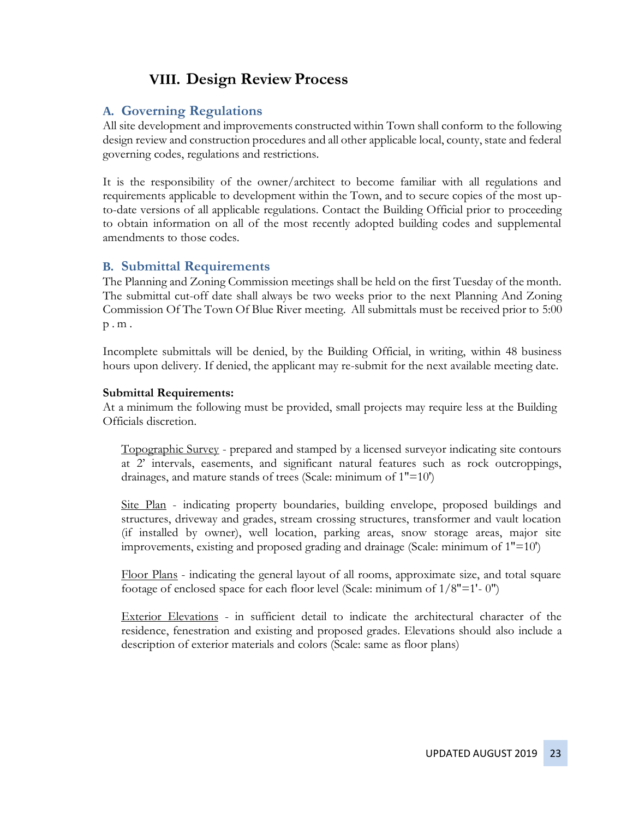# **VIII. Design Review Process**

### **A. Governing Regulations**

All site development and improvements constructed within Town shall conform to the following design review and construction procedures and all other applicable local, county, state and federal governing codes, regulations and restrictions.

It is the responsibility of the owner/architect to become familiar with all regulations and requirements applicable to development within the Town, and to secure copies of the most upto-date versions of all applicable regulations. Contact the Building Official prior to proceeding to obtain information on all of the most recently adopted building codes and supplemental amendments to those codes.

#### **B. Submittal Requirements**

The Planning and Zoning Commission meetings shall be held on the first Tuesday of the month. The submittal cut-off date shall always be two weeks prior to the next Planning And Zoning Commission Of The Town Of Blue River meeting. All submittals must be received prior to 5:00 p . m .

Incomplete submittals will be denied, by the Building Official, in writing, within 48 business hours upon delivery. If denied, the applicant may re-submit for the next available meeting date.

#### **Submittal Requirements:**

At a minimum the following must be provided, small projects may require less at the Building Officials discretion.

Topographic Survey - prepared and stamped by a licensed surveyor indicating site contours at 2' intervals, easements, and significant natural features such as rock outcroppings, drainages, and mature stands of trees (Scale: minimum of 1"=10')

Site Plan - indicating property boundaries, building envelope, proposed buildings and structures, driveway and grades, stream crossing structures, transformer and vault location (if installed by owner), well location, parking areas, snow storage areas, major site improvements, existing and proposed grading and drainage (Scale: minimum of 1"=10')

Floor Plans - indicating the general layout of all rooms, approximate size, and total square footage of enclosed space for each floor level (Scale: minimum of 1/8"=1'- 0")

Exterior Elevations - in sufficient detail to indicate the architectural character of the residence, fenestration and existing and proposed grades. Elevations should also include a description of exterior materials and colors (Scale: same as floor plans)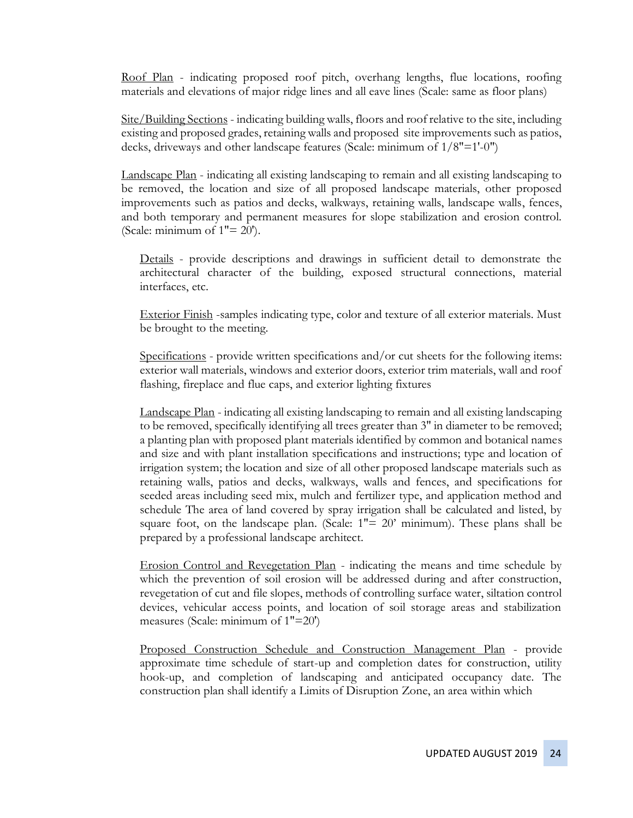Roof Plan - indicating proposed roof pitch, overhang lengths, flue locations, roofing materials and elevations of major ridge lines and all eave lines (Scale: same as floor plans)

Site/Building Sections - indicating building walls, floors and roof relative to the site, including existing and proposed grades, retaining walls and proposed site improvements such as patios, decks, driveways and other landscape features (Scale: minimum of 1/8"=1'-0")

Landscape Plan - indicating all existing landscaping to remain and all existing landscaping to be removed, the location and size of all proposed landscape materials, other proposed improvements such as patios and decks, walkways, retaining walls, landscape walls, fences, and both temporary and permanent measures for slope stabilization and erosion control. (Scale: minimum of  $1" = 20$ ).

Details - provide descriptions and drawings in sufficient detail to demonstrate the architectural character of the building, exposed structural connections, material interfaces, etc.

Exterior Finish -samples indicating type, color and texture of all exterior materials. Must be brought to the meeting.

Specifications - provide written specifications and/or cut sheets for the following items: exterior wall materials, windows and exterior doors, exterior trim materials, wall and roof flashing, fireplace and flue caps, and exterior lighting fixtures

Landscape Plan - indicating all existing landscaping to remain and all existing landscaping to be removed, specifically identifying all trees greater than 3" in diameter to be removed; a planting plan with proposed plant materials identified by common and botanical names and size and with plant installation specifications and instructions; type and location of irrigation system; the location and size of all other proposed landscape materials such as retaining walls, patios and decks, walkways, walls and fences, and specifications for seeded areas including seed mix, mulch and fertilizer type, and application method and schedule The area of land covered by spray irrigation shall be calculated and listed, by square foot, on the landscape plan. (Scale:  $1" = 20'$  minimum). These plans shall be prepared by a professional landscape architect.

Erosion Control and Revegetation Plan - indicating the means and time schedule by which the prevention of soil erosion will be addressed during and after construction, revegetation of cut and file slopes, methods of controlling surface water, siltation control devices, vehicular access points, and location of soil storage areas and stabilization measures (Scale: minimum of 1"=20')

Proposed Construction Schedule and Construction Management Plan - provide approximate time schedule of start-up and completion dates for construction, utility hook-up, and completion of landscaping and anticipated occupancy date. The construction plan shall identify a Limits of Disruption Zone, an area within which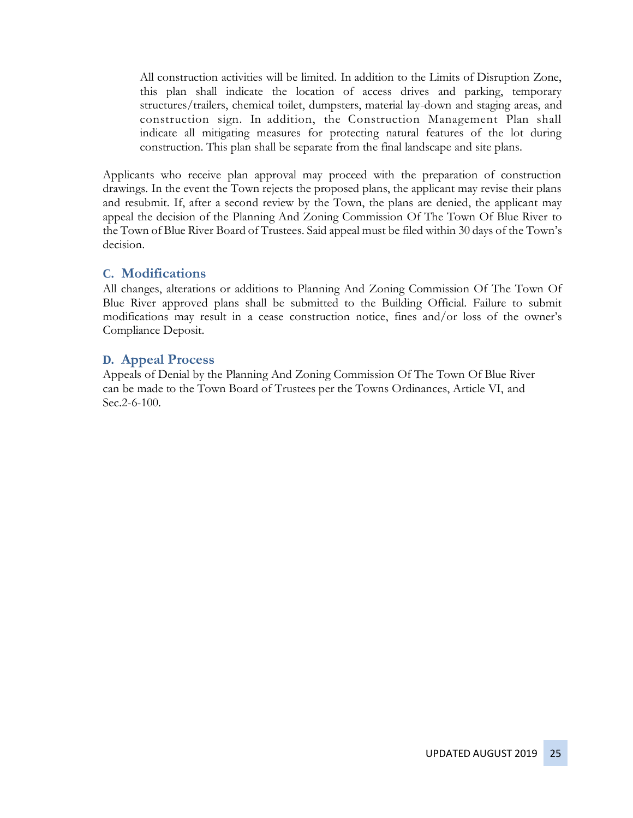All construction activities will be limited. In addition to the Limits of Disruption Zone, this plan shall indicate the location of access drives and parking, temporary structures/trailers, chemical toilet, dumpsters, material lay-down and staging areas, and construction sign. In addition, the Construction Management Plan shall indicate all mitigating measures for protecting natural features of the lot during construction. This plan shall be separate from the final landscape and site plans.

Applicants who receive plan approval may proceed with the preparation of construction drawings. In the event the Town rejects the proposed plans, the applicant may revise their plans and resubmit. If, after a second review by the Town, the plans are denied, the applicant may appeal the decision of the Planning And Zoning Commission Of The Town Of Blue River to the Town of Blue River Board of Trustees. Said appeal must be filed within 30 days of the Town's decision.

#### **C. Modifications**

All changes, alterations or additions to Planning And Zoning Commission Of The Town Of Blue River approved plans shall be submitted to the Building Official. Failure to submit modifications may result in a cease construction notice, fines and/or loss of the owner's Compliance Deposit.

#### **D. Appeal Process**

Appeals of Denial by the Planning And Zoning Commission Of The Town Of Blue River can be made to the Town Board of Trustees per the Towns Ordinances, Article VI, and Sec.2-6-100.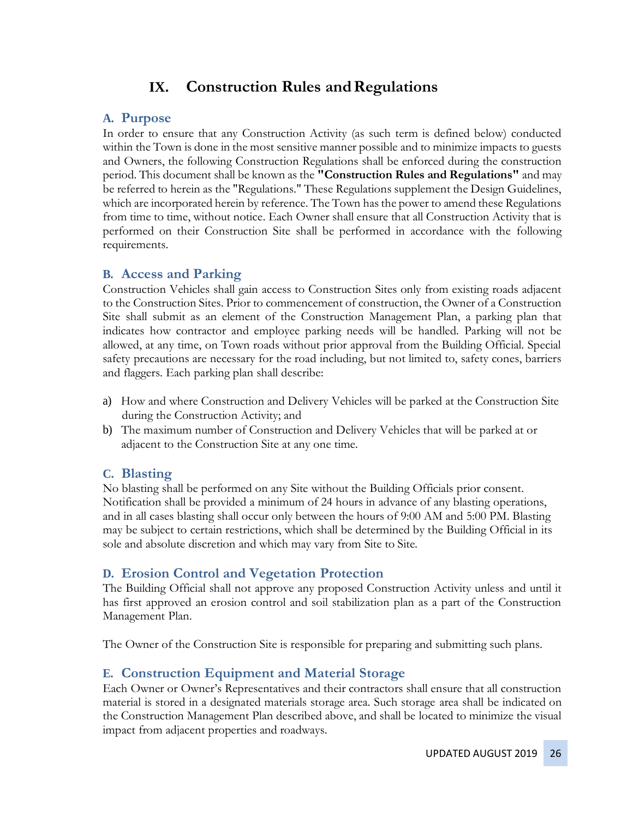# **IX.** Construction Rules and Regulations

### **A. Purpose**

In order to ensure that any Construction Activity (as such term is defined below) conducted within the Town is done in the most sensitive manner possible and to minimize impacts to guests and Owners, the following Construction Regulations shall be enforced during the construction period. This document shall be known as the **"Construction Rules and Regulations"** and may be referred to herein as the "Regulations." These Regulations supplement the Design Guidelines, which are incorporated herein by reference. The Town has the power to amend these Regulations from time to time, without notice. Each Owner shall ensure that all Construction Activity that is performed on their Construction Site shall be performed in accordance with the following requirements.

#### **B. Access and Parking**

Construction Vehicles shall gain access to Construction Sites only from existing roads adjacent to the Construction Sites. Prior to commencement of construction, the Owner of a Construction Site shall submit as an element of the Construction Management Plan, a parking plan that indicates how contractor and employee parking needs will be handled. Parking will not be allowed, at any time, on Town roads without prior approval from the Building Official. Special safety precautions are necessary for the road including, but not limited to, safety cones, barriers and flaggers. Each parking plan shall describe:

- a) How and where Construction and Delivery Vehicles will be parked at the Construction Site during the Construction Activity; and
- b) The maximum number of Construction and Delivery Vehicles that will be parked at or adjacent to the Construction Site at any one time.

### **C. Blasting**

No blasting shall be performed on any Site without the Building Officials prior consent. Notification shall be provided a minimum of 24 hours in advance of any blasting operations, and in all cases blasting shall occur only between the hours of 9:00 AM and 5:00 PM. Blasting may be subject to certain restrictions, which shall be determined by the Building Official in its sole and absolute discretion and which may vary from Site to Site.

### **D. Erosion Control and Vegetation Protection**

The Building Official shall not approve any proposed Construction Activity unless and until it has first approved an erosion control and soil stabilization plan as a part of the Construction Management Plan.

The Owner of the Construction Site is responsible for preparing and submitting such plans.

### **E. Construction Equipment and Material Storage**

Each Owner or Owner's Representatives and their contractors shall ensure that all construction material is stored in a designated materials storage area. Such storage area shall be indicated on the Construction Management Plan described above, and shall be located to minimize the visual impact from adjacent properties and roadways.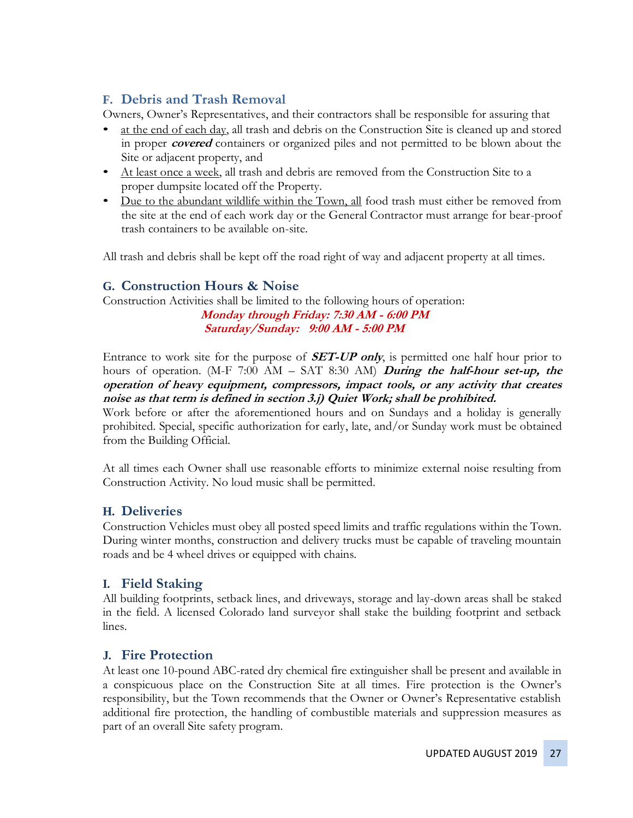### **F. Debris and Trash Removal**

Owners, Owner's Representatives, and their contractors shall be responsible for assuring that

- at the end of each day, all trash and debris on the Construction Site is cleaned up and stored in proper **covered** containers or organized piles and not permitted to be blown about the Site or adjacent property, and
- At least once a week, all trash and debris are removed from the Construction Site to a proper dumpsite located off the Property.
- Due to the abundant wildlife within the Town, all food trash must either be removed from the site at the end of each work day or the General Contractor must arrange for bear-proof trash containers to be available on-site.

All trash and debris shall be kept off the road right of way and adjacent property at all times.

### **G. Construction Hours & Noise**

Construction Activities shall be limited to the following hours of operation:

**Monday through Friday: 7:30 AM - 6:00 PM Saturday/Sunday: 9:00 AM - 5:00 PM**

Entrance to work site for the purpose of **SET-UP only**, is permitted one half hour prior to hours of operation. (M-F 7:00 AM – SAT 8:30 AM) **During the half-hour set-up, the operation of heavy equipment, compressors, impact tools, or any activity that creates noise as that term is defined in section 3.j) Quiet Work; shall be prohibited.**

Work before or after the aforementioned hours and on Sundays and a holiday is generally prohibited. Special, specific authorization for early, late, and/or Sunday work must be obtained from the Building Official.

At all times each Owner shall use reasonable efforts to minimize external noise resulting from Construction Activity. No loud music shall be permitted.

### **H. Deliveries**

Construction Vehicles must obey all posted speed limits and traffic regulations within the Town. During winter months, construction and delivery trucks must be capable of traveling mountain roads and be 4 wheel drives or equipped with chains.

#### **I. Field Staking**

All building footprints, setback lines, and driveways, storage and lay-down areas shall be staked in the field. A licensed Colorado land surveyor shall stake the building footprint and setback lines.

#### **J. Fire Protection**

At least one 10-pound ABC-rated dry chemical fire extinguisher shall be present and available in a conspicuous place on the Construction Site at all times. Fire protection is the Owner's responsibility, but the Town recommends that the Owner or Owner's Representative establish additional fire protection, the handling of combustible materials and suppression measures as part of an overall Site safety program.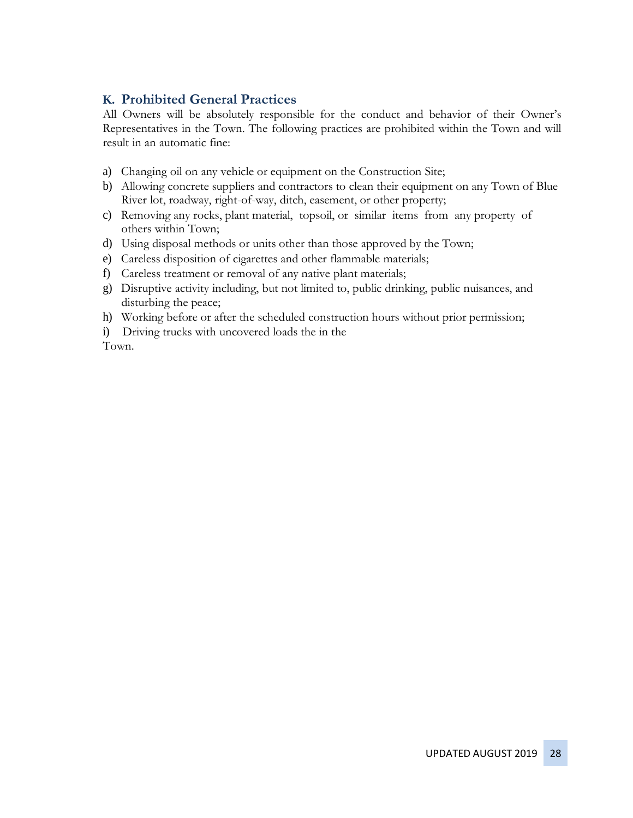### **K. Prohibited General Practices**

All Owners will be absolutely responsible for the conduct and behavior of their Owner's Representatives in the Town. The following practices are prohibited within the Town and will result in an automatic fine:

- a) Changing oil on any vehicle or equipment on the Construction Site;
- b) Allowing concrete suppliers and contractors to clean their equipment on any Town of Blue River lot, roadway, right-of-way, ditch, easement, or other property;
- c) Removing any rocks, plant material, topsoil, or similar items from any property of others within Town;
- d) Using disposal methods or units other than those approved by the Town;
- e) Careless disposition of cigarettes and other flammable materials;
- f) Careless treatment or removal of any native plant materials;
- g) Disruptive activity including, but not limited to, public drinking, public nuisances, and disturbing the peace;
- h) Working before or after the scheduled construction hours without prior permission;
- i) Driving trucks with uncovered loads the in the

Town.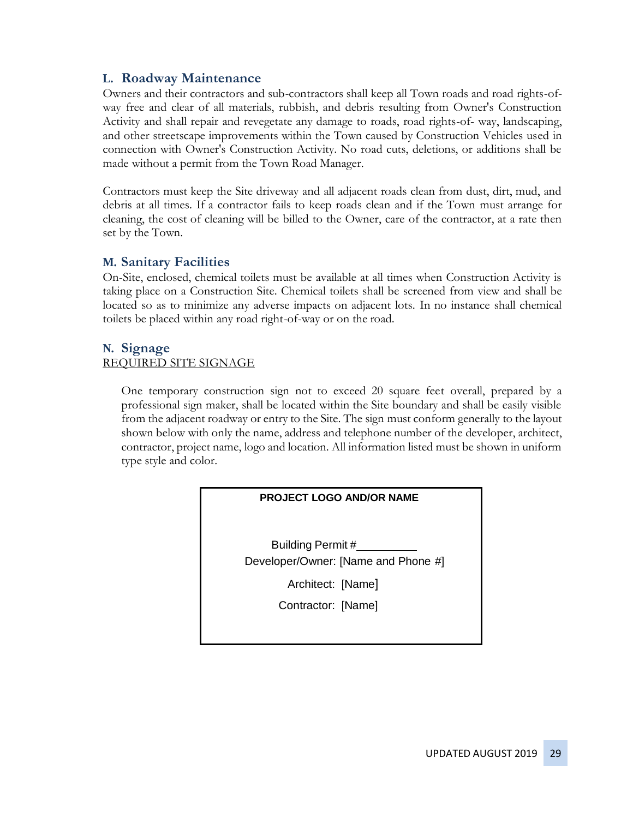### **L. Roadway Maintenance**

Owners and their contractors and sub-contractors shall keep all Town roads and road rights-ofway free and clear of all materials, rubbish, and debris resulting from Owner's Construction Activity and shall repair and revegetate any damage to roads, road rights-of- way, landscaping, and other streetscape improvements within the Town caused by Construction Vehicles used in connection with Owner's Construction Activity. No road cuts, deletions, or additions shall be made without a permit from the Town Road Manager.

Contractors must keep the Site driveway and all adjacent roads clean from dust, dirt, mud, and debris at all times. If a contractor fails to keep roads clean and if the Town must arrange for cleaning, the cost of cleaning will be billed to the Owner, care of the contractor, at a rate then set by the Town.

#### **M. Sanitary Facilities**

On-Site, enclosed, chemical toilets must be available at all times when Construction Activity is taking place on a Construction Site. Chemical toilets shall be screened from view and shall be located so as to minimize any adverse impacts on adjacent lots. In no instance shall chemical toilets be placed within any road right-of-way or on the road.

### **N. Signage**

#### REQUIRED SITE SIGNAGE

One temporary construction sign not to exceed 20 square feet overall, prepared by a professional sign maker, shall be located within the Site boundary and shall be easily visible from the adjacent roadway or entry to the Site. The sign must conform generally to the layout shown below with only the name, address and telephone number of the developer, architect, contractor, project name, logo and location. All information listed must be shown in uniform type style and color.

| <b>PROJECT LOGO AND/OR NAME</b>                          |
|----------------------------------------------------------|
| Building Permit #<br>Developer/Owner: [Name and Phone #] |
| Architect: [Name]                                        |
| Contractor: [Name]                                       |
|                                                          |